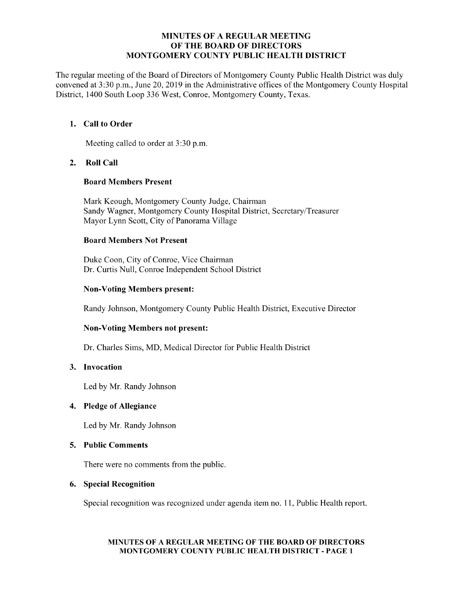### MINUTES OF A REGULAR MEETING OF THE BOARD OF DIRECTORS MONTGOMERY COUNTY PUBLIC HEALTH DISTRICT

The regular meeting of the Board of Directors of Montgomery County Public Health District was duly convened at 3:30 p.m., June 20, 2019 in the Administrative offices of the Montgomery County Hospital District, 1400 South Loop 336 West, Conroe, Montgomery County, Texas.

# 1. Call to Order

Meeting called to order at 3:30 p.m.

# 2. Roll Call

### Board Members Present

Mark Keough, Montgomery County Judge, Chairman Sandy Wagner, Montgomery County Hospital District, Secretary/Treasurer Mayor Lynn Scott, City of Panorama Village

# Board Members Not Present

Duke Coon, City of Conroe, Vice Chairman Dr. Curtis Null, Conroe Independent School District

# Non-Voting Members present:

Randy Johnson, Montgomery County Public Health District, Executive Director

# Non-Voting Members not present:

Dr. Charles Sims, MD, Medical Director for Public Health District

# 3. Invocation

Led by Mr. Randy Johnson

#### 4. Pledge of Allegiance

Led by Mr. Randy Johnson

### 5. Public Comments

There were no comments from the public.

### 6. Special Recognition

Special recognition was recognized under agenda item no. 11, Public Health report.

### MINUTES OF A REGULAR MEETING OF THE BOARD OF DIRECTORS MONTGOMERY COUNTY PUBLIC HEALTH DISTRICT - PAGE 1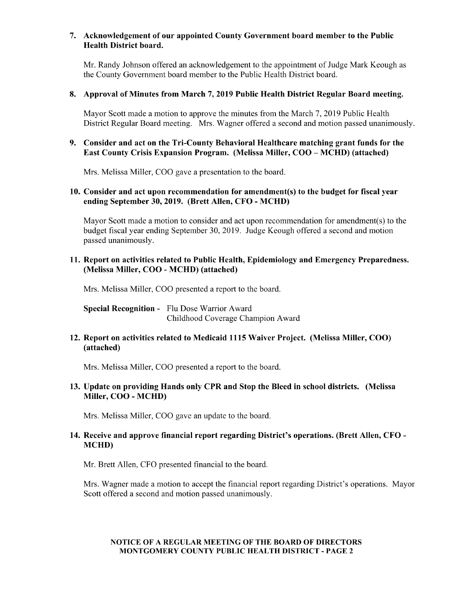### 7. Acknowledgement of our appointed County Government board member to the Public Health District board.

Mr. Randy Johnson offered an acknowledgement to the appointment of Judge Mark Keough as the County Government board member to the Public Health District board.

#### 8. Approval of Minutes from March 7, 2019 Public Health District Regular Board meeting.

Mayor Scott made a motion to approve the minutes from the March 7, 2019 Public Health District Regular Board meeting. Mrs. Wagner offered a second and motion passed unanimously.

# 9. Consider and act on the Tri-County Behavioral Healthcare matching grant funds for the East County Crisis Expansion Program. (Melissa Miller, COO – MCHD) (attached)

Mrs. Melissa Miller, COO gave a presentation to the board.

# 10. Consider and act upon recommendation for amendment(s) to the budget for fiscal year ending September 30, 2019. (Brett Allen, CFO - MCHD)

Mayor Scott made a motion to consider and act upon recommendation for amendment(s) to the budget fiscal year ending September 30, 2019. Judge Keough offered a second and motion passed unanimously.

### 11. Report on activities related to Public Health, Epidemiology and Emergency Preparedness. Melissa Miller, COO - MCHD) ( attached)

Mrs. Melissa Miller, COO presented a report to the board.

Special Recognition - Flu Dose Warrior Award Childhood Coverage Champion Award

# 12. Report on activities related to Medicaid 1115 Waiver Project. ( Melissa Miller, COO) attached)

Mrs. Melissa Miller, COO presented a report to the board.

# 13. Update on providing Hands only CPR and Stop the Bleed inschool districts. (Melissa Miller, COO - MCHD)

Mrs. Melissa Miller, COO gave an update to the board.

# 14. Receive and approve financial report regarding District' s operations. ( Brett Allen, CFO - MCHD)

Mr. Brett Allen, CFO presented financial to the board.

Mrs. Wagner made a motion to accept the financial report regarding District's operations. Mayor Scott offered a second and motion passed unanimously.

### NOTICE OF A REGULAR MEETING OF THE BOARD OF DIRECTORS MONTGOMERY COUNTY PUBLIC HEALTH DISTRICT - PAGE 2